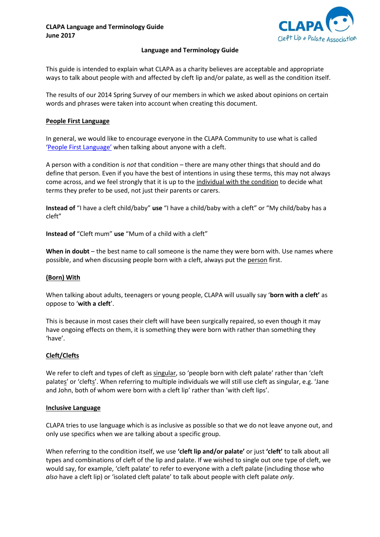

### **Language and Terminology Guide**

This guide is intended to explain what CLAPA as a charity believes are acceptable and appropriate ways to talk about people with and affected by cleft lip and/or palate, as well as the condition itself.

The results of our 2014 Spring Survey of our members in which we asked about opinions on certain words and phrases were taken into account when creating this document.

## **People First Language**

In general, we would like to encourage everyone in the CLAPA Community to use what is called ['People First Language'](http://en.wikipedia.org/wiki/People-first_language) when talking about anyone with a cleft.

A person with a condition is *not* that condition – there are many other things that should and do define that person. Even if you have the best of intentions in using these terms, this may not always come across, and we feel strongly that it is up to the individual with the condition to decide what terms they prefer to be used, not just their parents or carers.

**Instead of** "I have a cleft child/baby" **use** "I have a child/baby with a cleft" or "My child/baby has a cleft"

**Instead of** "Cleft mum" **use** "Mum of a child with a cleft"

**When in doubt** – the best name to call someone is the name they were born with. Use names where possible, and when discussing people born with a cleft, always put the person first.

### **(Born) With**

When talking about adults, teenagers or young people, CLAPA will usually say '**born with a cleft'** as oppose to '**with a cleft**'.

This is because in most cases their cleft will have been surgically repaired, so even though it may have ongoing effects on them, it is something they were born with rather than something they 'have'.

# **Cleft/Clefts**

We refer to cleft and types of cleft as singular, so 'people born with cleft palate' rather than 'cleft palates' or 'clefts'. When referring to multiple individuals we will still use cleft as singular, e.g. 'Jane and John, both of whom were born with a cleft lip' rather than 'with cleft lips'.

### **Inclusive Language**

CLAPA tries to use language which is as inclusive as possible so that we do not leave anyone out, and only use specifics when we are talking about a specific group.

When referring to the condition itself, we use **'cleft lip and/or palate'** or just **'cleft'** to talk about all types and combinations of cleft of the lip and palate. If we wished to single out one type of cleft, we would say, for example, 'cleft palate' to refer to everyone with a cleft palate (including those who *also* have a cleft lip) or 'isolated cleft palate' to talk about people with cleft palate *only*.